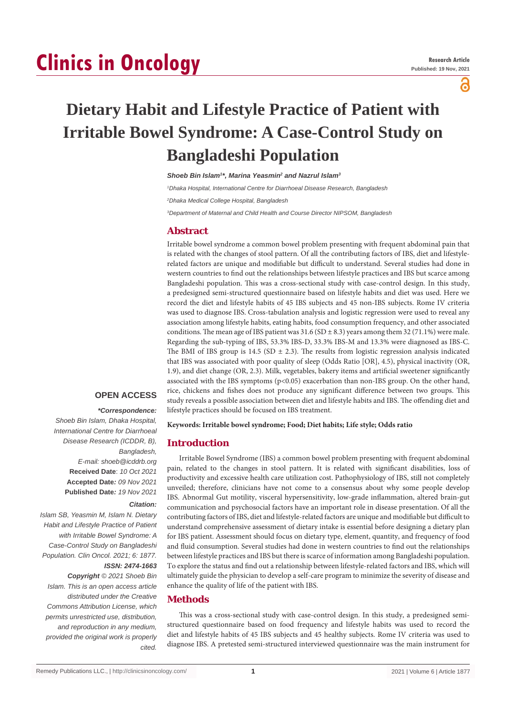# **Clinics in Oncology**

a

# **Dietary Habit and Lifestyle Practice of Patient with Irritable Bowel Syndrome: A Case-Control Study on Bangladeshi Population**

*Shoeb Bin Islam1 \*, Marina Yeasmin2 and Nazrul Islam3*

*1 Dhaka Hospital, International Centre for Diarrhoeal Disease Research, Bangladesh*

*2 Dhaka Medical College Hospital, Bangladesh*

*3 Department of Maternal and Child Health and Course Director NIPSOM, Bangladesh*

# **Abstract**

Irritable bowel syndrome a common bowel problem presenting with frequent abdominal pain that is related with the changes of stool pattern. Of all the contributing factors of IBS, diet and lifestylerelated factors are unique and modifiable but difficult to understand. Several studies had done in western countries to find out the relationships between lifestyle practices and IBS but scarce among Bangladeshi population. This was a cross-sectional study with case-control design. In this study, a predesigned semi-structured questionnaire based on lifestyle habits and diet was used. Here we record the diet and lifestyle habits of 45 IBS subjects and 45 non-IBS subjects. Rome IV criteria was used to diagnose IBS. Cross-tabulation analysis and logistic regression were used to reveal any association among lifestyle habits, eating habits, food consumption frequency, and other associated conditions. The mean age of IBS patient was  $31.6$  (SD  $\pm$  8.3) years among them 32 (71.1%) were male. Regarding the sub-typing of IBS, 53.3% IBS-D, 33.3% IBS-M and 13.3% were diagnosed as IBS-C. The BMI of IBS group is 14.5 (SD  $\pm$  2.3). The results from logistic regression analysis indicated that IBS was associated with poor quality of sleep (Odds Ratio [OR], 4.5), physical inactivity (OR, 1.9), and diet change (OR, 2.3). Milk, vegetables, bakery items and artificial sweetener significantly associated with the IBS symptoms (p<0.05) exacerbation than non-IBS group. On the other hand, rice, chickens and fishes does not produce any significant difference between two groups. This study reveals a possible association between diet and lifestyle habits and IBS. The offending diet and lifestyle practices should be focused on IBS treatment.

#### **OPEN ACCESS**

 *\*Correspondence: Shoeb Bin Islam, Dhaka Hospital, International Centre for Diarrhoeal Disease Research (ICDDR, B), Bangladesh, E-mail: shoeb@icddrb.org* **Received Date**: *10 Oct 2021* **Accepted Date***: 09 Nov 2021* **Published Date***: 19 Nov 2021*

#### *Citation:*

*Islam SB, Yeasmin M, Islam N. Dietary Habit and Lifestyle Practice of Patient with Irritable Bowel Syndrome: A Case-Control Study on Bangladeshi Population. Clin Oncol. 2021; 6: 1877. ISSN: 2474-1663*

# *Copyright © 2021 Shoeb Bin*

*Islam. This is an open access article distributed under the Creative Commons Attribution License, which permits unrestricted use, distribution, and reproduction in any medium, provided the original work is properly cited.*

**Keywords: Irritable bowel syndrome; Food; Diet habits; Life style; Odds ratio**

#### **Introduction**

Irritable Bowel Syndrome (IBS) a common bowel problem presenting with frequent abdominal pain, related to the changes in stool pattern. It is related with significant disabilities, loss of productivity and excessive health care utilization cost. Pathophysiology of IBS, still not completely unveiled; therefore, clinicians have not come to a consensus about why some people develop IBS. Abnormal Gut motility, visceral hypersensitivity, low-grade inflammation, altered brain-gut communication and psychosocial factors have an important role in disease presentation. Of all the contributing factors of IBS, diet and lifestyle-related factors are unique and modifiable but difficult to understand comprehensive assessment of dietary intake is essential before designing a dietary plan for IBS patient. Assessment should focus on dietary type, element, quantity, and frequency of food and fluid consumption. Several studies had done in western countries to find out the relationships between lifestyle practices and IBS but there is scarce of information among Bangladeshi population. To explore the status and find out a relationship between lifestyle-related factors and IBS, which will ultimately guide the physician to develop a self-care program to minimize the severity of disease and enhance the quality of life of the patient with IBS.

# **Methods**

This was a cross-sectional study with case-control design. In this study, a predesigned semistructured questionnaire based on food frequency and lifestyle habits was used to record the diet and lifestyle habits of 45 IBS subjects and 45 healthy subjects. Rome IV criteria was used to diagnose IBS. A pretested semi-structured interviewed questionnaire was the main instrument for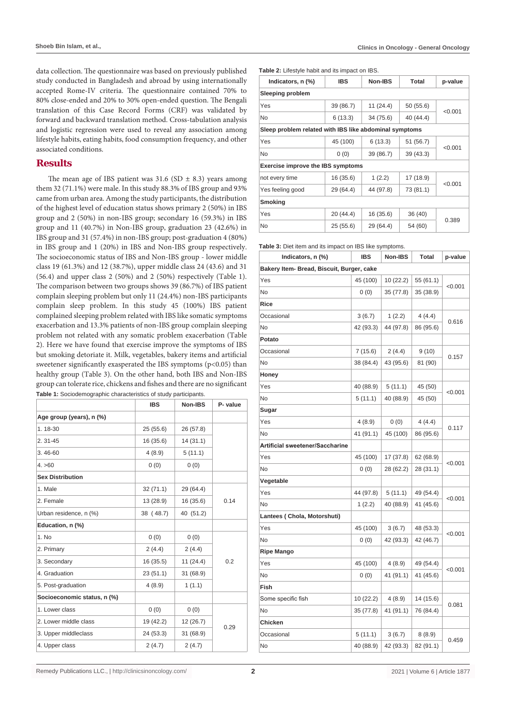data collection. The questionnaire was based on previously published study conducted in Bangladesh and abroad by using internationally accepted Rome-IV criteria. The questionnaire contained 70% to 80% close-ended and 20% to 30% open-ended question. The Bengali translation of this Case Record Forms (CRF) was validated by forward and backward translation method. Cross-tabulation analysis and logistic regression were used to reveal any association among lifestyle habits, eating habits, food consumption frequency, and other associated conditions.

# **Results**

The mean age of IBS patient was  $31.6$  (SD  $\pm$  8.3) years among them 32 (71.1%) were male. In this study 88.3% of IBS group and 93% came from urban area. Among the study participants, the distribution of the highest level of education status shows primary 2 (50%) in IBS group and 2 (50%) in non-IBS group; secondary 16 (59.3%) in IBS group and 11 (40.7%) in Non-IBS group, graduation 23 (42.6%) in IBS group and 31 (57.4%) in non-IBS group; post-graduation 4 (80%) in IBS group and 1 (20%) in IBS and Non-IBS group respectively. The socioeconomic status of IBS and Non-IBS group - lower middle class 19 (61.3%) and 12 (38.7%), upper middle class 24 (43.6) and 31 (56.4) and upper class 2 (50%) and 2 (50%) respectively (Table 1). The comparison between two groups shows 39 (86.7%) of IBS patient complain sleeping problem but only 11 (24.4%) non-IBS participants complain sleep problem. In this study 45 (100%) IBS patient complained sleeping problem related with IBS like somatic symptoms exacerbation and 13.3% patients of non-IBS group complain sleeping problem not related with any somatic problem exacerbation (Table 2). Here we have found that exercise improve the symptoms of IBS but smoking detoriate it. Milk, vegetables, bakery items and artificial sweetener significantly exasperated the IBS symptoms (p<0.05) than healthy group (Table 3). On the other hand, both IBS and Non-IBS group can tolerate rice, chickens and fishes and there are no significant **Table 1:** Sociodemographic characteristics of study participants.

|                             | <b>IBS</b> | Non-IBS   | P- value |  |
|-----------------------------|------------|-----------|----------|--|
| Age group (years), n (%)    |            |           |          |  |
| 1.18-30                     | 25(55.6)   | 26 (57.8) |          |  |
| 2.31-45                     | 16 (35.6)  | 14(31.1)  |          |  |
| 3.46-60                     | 4(8.9)     | 5(11.1)   |          |  |
| 4. > 60                     | 0(0)       | 0(0)      |          |  |
| <b>Sex Distribution</b>     |            |           |          |  |
| 1. Male                     | 32(71.1)   | 29 (64.4) |          |  |
| 2. Female                   | 13 (28.9)  | 16 (35.6) | 0.14     |  |
| Urban residence, n (%)      | 38 (48.7)  | 40 (51.2) |          |  |
| Education, n (%)            |            |           |          |  |
| 1. No                       | 0(0)       | 0(0)      | 0.2      |  |
| 2. Primary                  | 2(4.4)     | 2(4.4)    |          |  |
| 3. Secondary                | 16(35.5)   | 11(24.4)  |          |  |
| 4. Graduation               | 23(51.1)   | 31 (68.9) |          |  |
| 5. Post-graduation          | 4(8.9)     | 1(1.1)    |          |  |
| Socioeconomic status, n (%) |            |           |          |  |
| 1. Lower class              | 0(0)       | 0(0)      | 0.29     |  |
| 2. Lower middle class       | 19 (42.2)  | 12 (26.7) |          |  |
| 3. Upper middleclass        | 24 (53.3)  | 31 (68.9) |          |  |
| 4. Upper class              | 2(4.7)     | 2(4.7)    |          |  |

**Table 2:** Lifestyle habit and its impact on IBS.

| Indicators, n (%)                                      | <b>IBS</b> | Non-IBS   | Total     | p-value |  |
|--------------------------------------------------------|------------|-----------|-----------|---------|--|
| <b>Sleeping problem</b>                                |            |           |           |         |  |
| Yes                                                    | 39 (86.7)  | 11(24.4)  | 50 (55.6) | < 0.001 |  |
| <b>No</b>                                              | 6(13.3)    | 34 (75.6) | 40 (44.4) |         |  |
| Sleep problem related with IBS like abdominal symptoms |            |           |           |         |  |
| Yes                                                    | 45 (100)   | 6(13.3)   | 51 (56.7) | < 0.001 |  |
| No                                                     | 0(0)       | 39 (86.7) | 39(43.3)  |         |  |
| <b>Exercise improve the IBS symptoms</b>               |            |           |           |         |  |
| not every time                                         | 16 (35.6)  | 1(2.2)    | 17 (18.9) |         |  |
| Yes feeling good                                       | 29 (64.4)  | 44 (97.8) | 73 (81.1) | < 0.001 |  |
| <b>Smoking</b>                                         |            |           |           |         |  |
| Yes                                                    | 20(44.4)   | 16 (35.6) | 36 (40)   | 0.389   |  |
| No                                                     | 25 (55.6)  | 29 (64.4) | 54 (60)   |         |  |

**Table 3:** Diet item and its impact on IBS like symptoms.

| Indicators, n (%)                         | <b>IBS</b> | Non-IBS   | <b>Total</b> | p-value |  |
|-------------------------------------------|------------|-----------|--------------|---------|--|
| Bakery Item- Bread, Biscuit, Burger, cake |            |           |              |         |  |
| Yes                                       | 45 (100)   | 10 (22.2) | 55 (61.1)    | < 0.001 |  |
| No                                        | 0(0)       | 35 (77.8) | 35 (38.9)    |         |  |
| <b>Rice</b>                               |            |           |              |         |  |
| Occasional                                | 3(6.7)     | 1(2.2)    | 4(4.4)       | 0.616   |  |
| No                                        | 42 (93.3)  | 44 (97.8) | 86 (95.6)    |         |  |
| Potato                                    |            |           |              |         |  |
| Occasional                                | 7(15.6)    | 2(4.4)    | 9(10)        |         |  |
| No                                        | 38 (84.4)  | 43 (95.6) | 81 (90)      | 0.157   |  |
| Honey                                     |            |           |              |         |  |
| Yes                                       | 40 (88.9)  | 5(11.1)   | 45 (50)      |         |  |
| No                                        | 5(11.1)    | 40 (88.9) | 45 (50)      | < 0.001 |  |
| Sugar                                     |            |           |              |         |  |
| Yes                                       | 4(8.9)     | 0(0)      | 4(4.4)       |         |  |
| No                                        | 41 (91.1)  | 45 (100)  | 86 (95.6)    | 0.117   |  |
| Artificial sweetener/Saccharine           |            |           |              |         |  |
| Yes                                       | 45 (100)   | 17 (37.8) | 62 (68.9)    |         |  |
| No                                        | 0(0)       | 28 (62.2) | 28 (31.1)    | < 0.001 |  |
| Vegetable                                 |            |           |              |         |  |
| Yes                                       | 44 (97.8)  | 5(11.1)   | 49 (54.4)    |         |  |
| No                                        | 1(2.2)     | 40 (88.9) | 41 (45.6)    | <0.001  |  |
| Lantees (Chola, Motorshuti)               |            |           |              |         |  |
| Yes                                       | 45 (100)   | 3(6.7)    | 48 (53.3)    | < 0.001 |  |
| No                                        | 0(0)       | 42 (93.3) | 42 (46.7)    |         |  |
| <b>Ripe Mango</b>                         |            |           |              |         |  |
| Yes                                       | 45 (100)   | 4(8.9)    | 49 (54.4)    |         |  |
| No                                        | 0(0)       | 41 (91.1) | 41 (45.6)    | < 0.001 |  |
| Fish                                      |            |           |              |         |  |
| Some specific fish                        | 10 (22.2)  | 4 (8.9)   | 14 (15.6)    | 0.081   |  |
| No                                        | 35 (77.8)  | 41 (91.1) | 76 (84.4)    |         |  |
| Chicken                                   |            |           |              |         |  |
| Occasional                                | 5(11.1)    | 3(6.7)    | 8(8.9)       | 0.459   |  |
| No                                        | 40 (88.9)  | 42 (93.3) | 82 (91.1)    |         |  |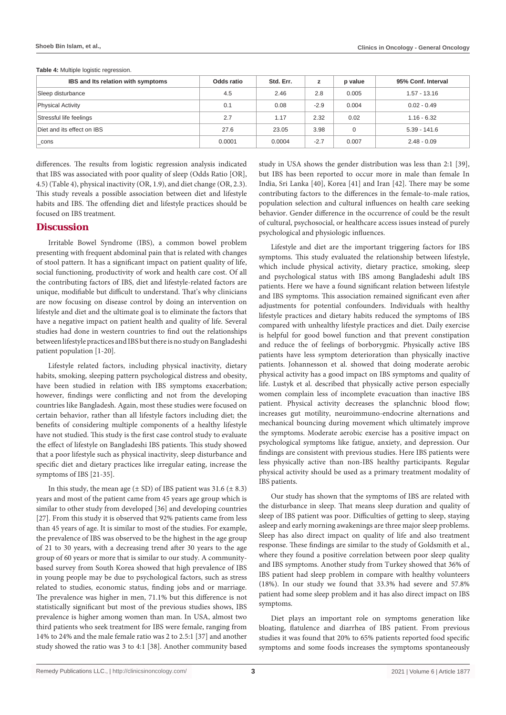| IBS and Its relation with symptoms | Odds ratio | Std. Err. | z      | p value  | 95% Conf. Interval |
|------------------------------------|------------|-----------|--------|----------|--------------------|
| Sleep disturbance                  | 4.5        | 2.46      | 2.8    | 0.005    | $1.57 - 13.16$     |
| <b>Physical Activity</b>           | 0.1        | 0.08      | $-2.9$ | 0.004    | $0.02 - 0.49$      |
| Stressful life feelings            | 2.7        | 1.17      | 2.32   | 0.02     | $1.16 - 6.32$      |
| Diet and its effect on IBS         | 27.6       | 23.05     | 3.98   | $\Omega$ | $5.39 - 141.6$     |
| cons                               | 0.0001     | 0.0004    | $-2.7$ | 0.007    | $2.48 - 0.09$      |

**Table 4: Multiple logistic regression.** 

differences. The results from logistic regression analysis indicated that IBS was associated with poor quality of sleep (Odds Ratio [OR], 4.5) (Table 4), physical inactivity (OR, 1.9), and diet change (OR, 2.3). This study reveals a possible association between diet and lifestyle habits and IBS. The offending diet and lifestyle practices should be focused on IBS treatment.

#### **Discussion**

Irritable Bowel Syndrome (IBS), a common bowel problem presenting with frequent abdominal pain that is related with changes of stool pattern. It has a significant impact on patient quality of life, social functioning, productivity of work and health care cost. Of all the contributing factors of IBS, diet and lifestyle-related factors are unique, modifiable but difficult to understand. That's why clinicians are now focusing on disease control by doing an intervention on lifestyle and diet and the ultimate goal is to eliminate the factors that have a negative impact on patient health and quality of life. Several studies had done in western countries to find out the relationships between lifestyle practices and IBS but there is no study on Bangladeshi patient population [1-20].

Lifestyle related factors, including physical inactivity, dietary habits, smoking, sleeping pattern psychological distress and obesity, have been studied in relation with IBS symptoms exacerbation; however, findings were conflicting and not from the developing countries like Bangladesh. Again, most these studies were focused on certain behavior, rather than all lifestyle factors including diet; the benefits of considering multiple components of a healthy lifestyle have not studied. This study is the first case control study to evaluate the effect of lifestyle on Bangladeshi IBS patients. This study showed that a poor lifestyle such as physical inactivity, sleep disturbance and specific diet and dietary practices like irregular eating, increase the symptoms of IBS [21-35].

In this study, the mean age  $(\pm SD)$  of IBS patient was 31.6  $(\pm 8.3)$ years and most of the patient came from 45 years age group which is similar to other study from developed [36] and developing countries [27]. From this study it is observed that 92% patients came from less than 45 years of age. It is similar to most of the studies. For example, the prevalence of IBS was observed to be the highest in the age group of 21 to 30 years, with a decreasing trend after 30 years to the age group of 60 years or more that is similar to our study. A communitybased survey from South Korea showed that high prevalence of IBS in young people may be due to psychological factors, such as stress related to studies, economic status, finding jobs and or marriage. The prevalence was higher in men, 71.1% but this difference is not statistically significant but most of the previous studies shows, IBS prevalence is higher among women than man. In USA, almost two third patients who seek treatment for IBS were female, ranging from 14% to 24% and the male female ratio was 2 to 2.5:1 [37] and another study showed the ratio was 3 to 4:1 [38]. Another community based study in USA shows the gender distribution was less than 2:1 [39], but IBS has been reported to occur more in male than female In India, Sri Lanka [40], Korea [41] and Iran [42]. There may be some contributing factors to the differences in the female-to-male ratios, population selection and cultural influences on health care seeking behavior. Gender difference in the occurrence of could be the result of cultural, psychosocial, or healthcare access issues instead of purely psychological and physiologic influences.

Lifestyle and diet are the important triggering factors for IBS symptoms. This study evaluated the relationship between lifestyle, which include physical activity, dietary practice, smoking, sleep and psychological status with IBS among Bangladeshi adult IBS patients. Here we have a found significant relation between lifestyle and IBS symptoms. This association remained significant even after adjustments for potential confounders. Individuals with healthy lifestyle practices and dietary habits reduced the symptoms of IBS compared with unhealthy lifestyle practices and diet. Daily exercise is helpful for good bowel function and that prevent constipation and reduce the of feelings of borborygmic. Physically active IBS patients have less symptom deterioration than physically inactive patients. Johannesson et al. showed that doing moderate aerobic physical activity has a good impact on IBS symptoms and quality of life. Lustyk et al. described that physically active person especially women complain less of incomplete evacuation than inactive IBS patient. Physical activity decreases the splanchnic blood flow; increases gut motility, neuroimmuno-endocrine alternations and mechanical bouncing during movement which ultimately improve the symptoms. Moderate aerobic exercise has a positive impact on psychological symptoms like fatigue, anxiety, and depression. Our findings are consistent with previous studies. Here IBS patients were less physically active than non-IBS healthy participants. Regular physical activity should be used as a primary treatment modality of IBS patients.

Our study has shown that the symptoms of IBS are related with the disturbance in sleep. That means sleep duration and quality of sleep of IBS patient was poor. Difficulties of getting to sleep, staying asleep and early morning awakenings are three major sleep problems. Sleep has also direct impact on quality of life and also treatment response. These findings are similar to the study of Goldsmith et al., where they found a positive correlation between poor sleep quality and IBS symptoms. Another study from Turkey showed that 36% of IBS patient had sleep problem in compare with healthy volunteers (18%). In our study we found that 33.3% had severe and 57.8% patient had some sleep problem and it has also direct impact on IBS symptoms.

Diet plays an important role on symptoms generation like bloating, flatulence and diarrhea of IBS patient. From previous studies it was found that 20% to 65% patients reported food specific symptoms and some foods increases the symptoms spontaneously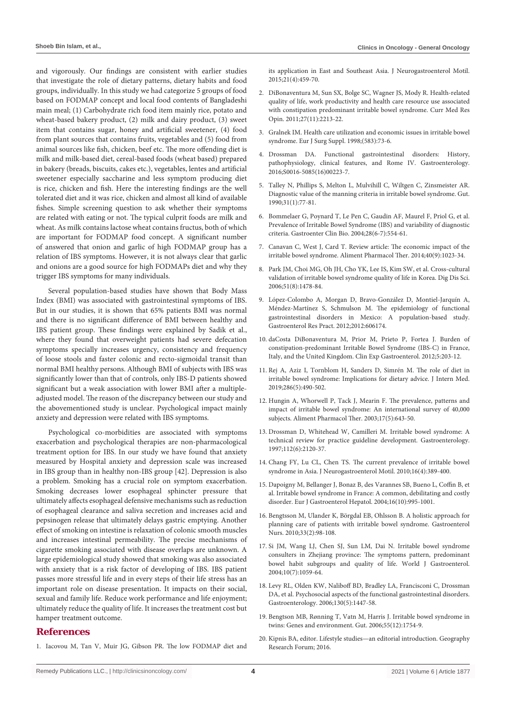and vigorously. Our findings are consistent with earlier studies that investigate the role of dietary patterns, dietary habits and food groups, individually. In this study we had categorize 5 groups of food based on FODMAP concept and local food contents of Bangladeshi main meal; (1) Carbohydrate rich food item mainly rice, potato and wheat-based bakery product, (2) milk and dairy product, (3) sweet item that contains sugar, honey and artificial sweetener, (4) food from plant sources that contains fruits, vegetables and (5) food from animal sources like fish, chicken, beef etc. The more offending diet is milk and milk-based diet, cereal-based foods (wheat based) prepared in bakery (breads, biscuits, cakes etc.), vegetables, lentes and artificial sweetener especially saccharine and less symptom producing diet is rice, chicken and fish. Here the interesting findings are the well tolerated diet and it was rice, chicken and almost all kind of available fishes. Simple screening question to ask whether their symptoms are related with eating or not. The typical culprit foods are milk and wheat. As milk contains lactose wheat contains fructus, both of which are important for FODMAP food concept. A significant number of answered that onion and garlic of high FODMAP group has a relation of IBS symptoms. However, it is not always clear that garlic and onions are a good source for high FODMAPs diet and why they trigger IBS symptoms for many individuals.

Several population-based studies have shown that Body Mass Index (BMI) was associated with gastrointestinal symptoms of IBS. But in our studies, it is shown that 65% patients BMI was normal and there is no significant difference of BMI between healthy and IBS patient group. These findings were explained by Sadik et al., where they found that overweight patients had severe defecation symptoms specially increases urgency, consistency and frequency of loose stools and faster colonic and recto-sigmoidal transit than normal BMI healthy persons. Although BMI of subjects with IBS was significantly lower than that of controls, only IBS-D patients showed significant but a weak association with lower BMI after a multipleadjusted model. The reason of the discrepancy between our study and the abovementioned study is unclear. Psychological impact mainly anxiety and depression were related with IBS symptoms.

Psychological co-morbidities are associated with symptoms exacerbation and psychological therapies are non-pharmacological treatment option for IBS. In our study we have found that anxiety measured by Hospital anxiety and depression scale was increased in IBS group than in healthy non-IBS group [42]. Depression is also a problem. Smoking has a crucial role on symptom exacerbation. Smoking decreases lower esophageal sphincter pressure that ultimately affects esophageal defensive mechanisms such as reduction of esophageal clearance and saliva secretion and increases acid and pepsinogen release that ultimately delays gastric emptying. Another effect of smoking on intestine is relaxation of colonic smooth muscles and increases intestinal permeability. The precise mechanisms of cigarette smoking associated with disease overlaps are unknown. A large epidemiological study showed that smoking was also associated with anxiety that is a risk factor of developing of IBS. IBS patient passes more stressful life and in every steps of their life stress has an important role on disease presentation. It impacts on their social, sexual and family life. Reduce work performance and life enjoyment; ultimately reduce the quality of life. It increases the treatment cost but hamper treatment outcome.

#### **References**

1. [Iacovou M, Tan V, Muir JG, Gibson PR. The low FODMAP diet and](https://pubmed.ncbi.nlm.nih.gov/26350937/) 

[its application in East and Southeast Asia. J Neurogastroenterol Motil.](https://pubmed.ncbi.nlm.nih.gov/26350937/)  [2015;21\(4\):459-70.](https://pubmed.ncbi.nlm.nih.gov/26350937/)

- 2. [DiBonaventura M, Sun SX, Bolge SC, Wagner JS, Mody R. Health-related](https://pubmed.ncbi.nlm.nih.gov/21951105/)  [quality of life, work productivity and health care resource use associated](https://pubmed.ncbi.nlm.nih.gov/21951105/)  [with constipation predominant irritable bowel syndrome. Curr Med Res](https://pubmed.ncbi.nlm.nih.gov/21951105/)  [Opin. 2011;27\(11\):2213-22.](https://pubmed.ncbi.nlm.nih.gov/21951105/)
- 3. [Gralnek IM. Health care utilization and economic issues in irritable bowel](https://pubmed.ncbi.nlm.nih.gov/10027677/)  [syndrome. Eur J Surg Suppl. 1998;\(583\):73-6.](https://pubmed.ncbi.nlm.nih.gov/10027677/)
- 4. [Drossman DA. Functional gastrointestinal disorders: History,](https://pubmed.ncbi.nlm.nih.gov/27144617/)  [pathophysiology, clinical features, and Rome IV. Gastroenterology.](https://pubmed.ncbi.nlm.nih.gov/27144617/)  [2016;S0016-5085\(16\)00223-7.](https://pubmed.ncbi.nlm.nih.gov/27144617/)
- 5. [Talley N, Phillips S, Melton L, Mulvihill C, Wiltgen C, Zinsmeister AR.](https://pubmed.ncbi.nlm.nih.gov/2318433/)  [Diagnostic value of the manning criteria in irritable bowel syndrome. Gut.](https://pubmed.ncbi.nlm.nih.gov/2318433/)  [1990;31\(1\):77-81.](https://pubmed.ncbi.nlm.nih.gov/2318433/)
- 6. [Bommelaer G, Poynard T, Le Pen C, Gaudin AF, Maurel F, Priol G, et al.](https://pubmed.ncbi.nlm.nih.gov/15243388/)  [Prevalence of Irritable Bowel Syndrome \(IBS\) and variability of diagnostic](https://pubmed.ncbi.nlm.nih.gov/15243388/)  [criteria. Gastroenter Clin Bio. 2004;28\(6-7\):554-61.](https://pubmed.ncbi.nlm.nih.gov/15243388/)
- 7. [Canavan C, West J, Card T. Review article: The economic impact of the](https://pubmed.ncbi.nlm.nih.gov/25199904/)  [irritable bowel syndrome. Aliment Pharmacol Ther. 2014;40\(9\):1023-34.](https://pubmed.ncbi.nlm.nih.gov/25199904/)
- 8. [Park JM, Choi MG, Oh JH, Cho YK, Lee IS, Kim SW, et al. Cross-cultural](https://pubmed.ncbi.nlm.nih.gov/16855882/)  [validation of irritable bowel syndrome quality of life in Korea. Dig Dis Sci.](https://pubmed.ncbi.nlm.nih.gov/16855882/)  [2006;51\(8\):1478-84.](https://pubmed.ncbi.nlm.nih.gov/16855882/)
- 9. [López-Colombo A, Morgan D, Bravo-González D, Montiel-Jarquín A,](https://pubmed.ncbi.nlm.nih.gov/22474443/)  [Méndez-Martínez S, Schmulson M. The epidemiology of functional](https://pubmed.ncbi.nlm.nih.gov/22474443/)  [gastrointestinal disorders in Mexico: A population-based study.](https://pubmed.ncbi.nlm.nih.gov/22474443/)  [Gastroenterol Res Pract. 2012;2012:606174.](https://pubmed.ncbi.nlm.nih.gov/22474443/)
- 10. [daCosta DiBonaventura M, Prior M, Prieto P, Fortea J. Burden of](https://pubmed.ncbi.nlm.nih.gov/23162373/)  [constipation-predominant Irritable Bowel Syndrome \(IBS-C\) in France,](https://pubmed.ncbi.nlm.nih.gov/23162373/)  [Italy, and the United Kingdom. Clin Exp Gastroenterol. 2012;5:203-12.](https://pubmed.ncbi.nlm.nih.gov/23162373/)
- 11. [Rej A, Aziz I, Tornblom H, Sanders D, Simrén M. The role of diet in](https://pubmed.ncbi.nlm.nih.gov/31468640/)  [irritable bowel syndrome: Implications for dietary advice. J Intern Med.](https://pubmed.ncbi.nlm.nih.gov/31468640/)  [2019;286\(5\):490-502.](https://pubmed.ncbi.nlm.nih.gov/31468640/)
- 12. [Hungin A, Whorwell P, Tack J, Mearin F. The prevalence, patterns and](https://pubmed.ncbi.nlm.nih.gov/12641512/)  [impact of irritable bowel syndrome: An international survey of 40,000](https://pubmed.ncbi.nlm.nih.gov/12641512/)  [subjects. Aliment Pharmacol Ther. 2003;17\(5\):643-50.](https://pubmed.ncbi.nlm.nih.gov/12641512/)
- 13. [Drossman D, Whitehead W, Camilleri M. Irritable bowel syndrome: A](https://pubmed.ncbi.nlm.nih.gov/9178709/)  [technical review for practice guideline development. Gastroenterology.](https://pubmed.ncbi.nlm.nih.gov/9178709/)  [1997;112\(6\):2120-37.](https://pubmed.ncbi.nlm.nih.gov/9178709/)
- 14. Chang FY, Lu CL, Chen TS. The current prevalence of irritable bowel syndrome in Asia. J Neurogastroenterol Motil. 2010;16(4):389-400.
- 15. [Dapoigny M, Bellanger J, Bonaz B, des Varannes SB, Bueno L, Coffin B, et](https://pubmed.ncbi.nlm.nih.gov/15371923/)  [al. Irritable bowel syndrome in France: A common, debilitating and costly](https://pubmed.ncbi.nlm.nih.gov/15371923/)  [disorder. Eur J Gastroenterol Hepatol. 2004;16\(10\):995-1001.](https://pubmed.ncbi.nlm.nih.gov/15371923/)
- 16. [Bengtsson M, Ulander K, Börgdal EB, Ohlsson B. A holistic approach for](https://pubmed.ncbi.nlm.nih.gov/20389223/)  [planning care of patients with irritable bowel syndrome. Gastroenterol](https://pubmed.ncbi.nlm.nih.gov/20389223/)  [Nurs. 2010;33\(2\):98-108.](https://pubmed.ncbi.nlm.nih.gov/20389223/)
- 17. [Si JM, Wang LJ, Chen SJ, Sun LM, Dai N. Irritable bowel syndrome](https://pubmed.ncbi.nlm.nih.gov/15052694/)  [consulters in Zhejiang province: The symptoms pattern, predominant](https://pubmed.ncbi.nlm.nih.gov/15052694/)  [bowel habit subgroups and quality of life. World J Gastroenterol.](https://pubmed.ncbi.nlm.nih.gov/15052694/)  [2004;10\(7\):1059-64.](https://pubmed.ncbi.nlm.nih.gov/15052694/)
- 18. [Levy RL, Olden KW, Naliboff BD, Bradley LA, Francisconi C, Drossman](https://pubmed.ncbi.nlm.nih.gov/16678558/)  [DA, et al. Psychosocial aspects of the functional gastrointestinal disorders.](https://pubmed.ncbi.nlm.nih.gov/16678558/)  [Gastroenterology. 2006;130\(5\):1447-58.](https://pubmed.ncbi.nlm.nih.gov/16678558/)
- 19. [Bengtson MB, Rønning T, Vatn M, Harris J. Irritable bowel syndrome in](https://pubmed.ncbi.nlm.nih.gov/17008364/)  [twins: Genes and environment. Gut. 2006;55\(12\):1754-9.](https://pubmed.ncbi.nlm.nih.gov/17008364/)
- 20. Kipnis BA, editor. Lifestyle studies—an editorial introduction. Geography Research Forum; 2016.